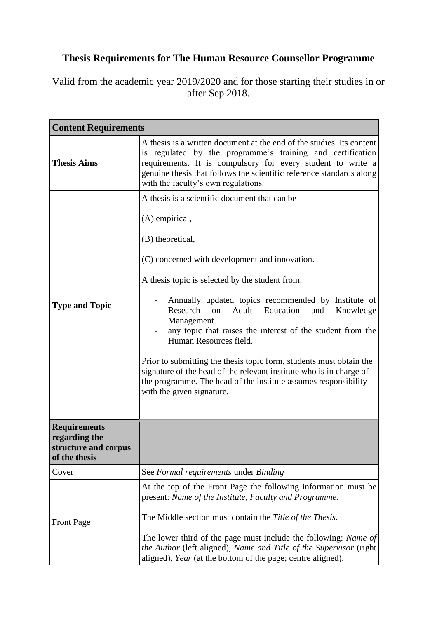## **Thesis Requirements for The Human Resource Counsellor Programme**

Valid from the academic year 2019/2020 and for those starting their studies in or after Sep 2018.

| <b>Content Requirements</b>                            |                                                                                                                                                                                                                                                                                                                                                                                                                                                                   |
|--------------------------------------------------------|-------------------------------------------------------------------------------------------------------------------------------------------------------------------------------------------------------------------------------------------------------------------------------------------------------------------------------------------------------------------------------------------------------------------------------------------------------------------|
| <b>Thesis Aims</b>                                     | A thesis is a written document at the end of the studies. Its content<br>is regulated by the programme's training and certification<br>requirements. It is compulsory for every student to write a<br>genuine thesis that follows the scientific reference standards along<br>with the faculty's own regulations.                                                                                                                                                 |
|                                                        | A thesis is a scientific document that can be                                                                                                                                                                                                                                                                                                                                                                                                                     |
|                                                        | (A) empirical,                                                                                                                                                                                                                                                                                                                                                                                                                                                    |
|                                                        | (B) theoretical,                                                                                                                                                                                                                                                                                                                                                                                                                                                  |
|                                                        | (C) concerned with development and innovation.                                                                                                                                                                                                                                                                                                                                                                                                                    |
|                                                        | A thesis topic is selected by the student from:                                                                                                                                                                                                                                                                                                                                                                                                                   |
| <b>Type and Topic</b>                                  | Annually updated topics recommended by Institute of<br>Research<br>Adult Education<br>on<br>and<br>Knowledge<br>Management.<br>any topic that raises the interest of the student from the<br>Human Resources field.<br>Prior to submitting the thesis topic form, students must obtain the<br>signature of the head of the relevant institute who is in charge of<br>the programme. The head of the institute assumes responsibility<br>with the given signature. |
| <b>Requirements</b>                                    |                                                                                                                                                                                                                                                                                                                                                                                                                                                                   |
| regarding the<br>structure and corpus<br>of the thesis |                                                                                                                                                                                                                                                                                                                                                                                                                                                                   |
| Cover                                                  | See Formal requirements under Binding                                                                                                                                                                                                                                                                                                                                                                                                                             |
| <b>Front Page</b>                                      | At the top of the Front Page the following information must be<br>present: Name of the Institute, Faculty and Programme.<br>The Middle section must contain the Title of the Thesis.<br>The lower third of the page must include the following: Name of<br>the Author (left aligned), Name and Title of the Supervisor (right)<br>aligned), Year (at the bottom of the page; centre aligned).                                                                     |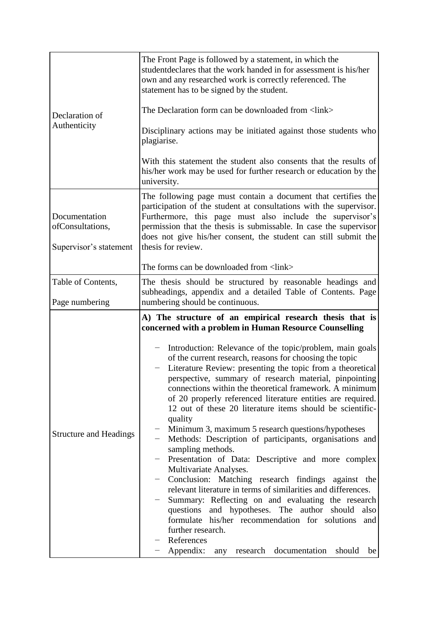| Declaration of<br>Authenticity                              | The Front Page is followed by a statement, in which the<br>student declares that the work handed in for assessment is his/her<br>own and any researched work is correctly referenced. The<br>statement has to be signed by the student.<br>The Declaration form can be downloaded from <link/><br>Disciplinary actions may be initiated against those students who<br>plagiarise.<br>With this statement the student also consents that the results of<br>his/her work may be used for further research or education by the<br>university.                                                                                                                                                                                                                                                                                                                                                                                                                                                                                                                                                                                                                                           |
|-------------------------------------------------------------|--------------------------------------------------------------------------------------------------------------------------------------------------------------------------------------------------------------------------------------------------------------------------------------------------------------------------------------------------------------------------------------------------------------------------------------------------------------------------------------------------------------------------------------------------------------------------------------------------------------------------------------------------------------------------------------------------------------------------------------------------------------------------------------------------------------------------------------------------------------------------------------------------------------------------------------------------------------------------------------------------------------------------------------------------------------------------------------------------------------------------------------------------------------------------------------|
| Documentation<br>ofConsultations,<br>Supervisor's statement | The following page must contain a document that certifies the<br>participation of the student at consultations with the supervisor.<br>Furthermore, this page must also include the supervisor's<br>permission that the thesis is submissable. In case the supervisor<br>does not give his/her consent, the student can still submit the<br>thesis for review.<br>The forms can be downloaded from <link/>                                                                                                                                                                                                                                                                                                                                                                                                                                                                                                                                                                                                                                                                                                                                                                           |
| Table of Contents,                                          | The thesis should be structured by reasonable headings and                                                                                                                                                                                                                                                                                                                                                                                                                                                                                                                                                                                                                                                                                                                                                                                                                                                                                                                                                                                                                                                                                                                           |
|                                                             | subheadings, appendix and a detailed Table of Contents. Page                                                                                                                                                                                                                                                                                                                                                                                                                                                                                                                                                                                                                                                                                                                                                                                                                                                                                                                                                                                                                                                                                                                         |
| Page numbering                                              | numbering should be continuous.                                                                                                                                                                                                                                                                                                                                                                                                                                                                                                                                                                                                                                                                                                                                                                                                                                                                                                                                                                                                                                                                                                                                                      |
| <b>Structure and Headings</b>                               | A) The structure of an empirical research thesis that is<br>concerned with a problem in Human Resource Counselling<br>Introduction: Relevance of the topic/problem, main goals<br>of the current research, reasons for choosing the topic<br>Literature Review: presenting the topic from a theoretical<br>perspective, summary of research material, pinpointing<br>connections within the theoretical framework. A minimum<br>of 20 properly referenced literature entities are required.<br>12 out of these 20 literature items should be scientific-<br>quality<br>Minimum 3, maximum 5 research questions/hypotheses<br>Methods: Description of participants, organisations and<br>sampling methods.<br>Presentation of Data: Descriptive and more complex<br>Multivariate Analyses.<br>Conclusion: Matching research findings against the<br>relevant literature in terms of similarities and differences.<br>Summary: Reflecting on and evaluating the research<br>questions and hypotheses. The author should<br>also<br>formulate his/her recommendation for solutions<br>and<br>further research.<br>References<br>Appendix:<br>any research documentation<br>should<br>be |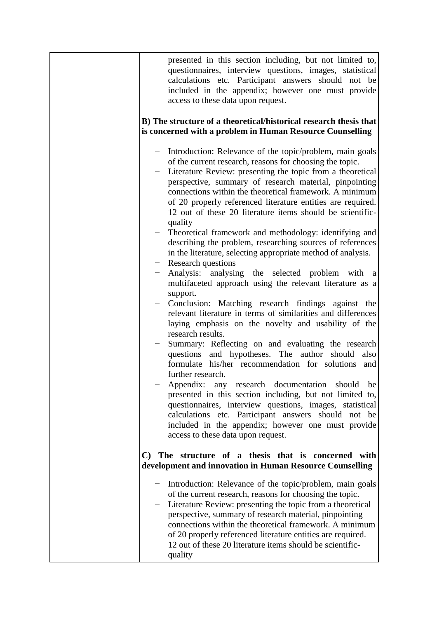| presented in this section including, but not limited to,<br>questionnaires, interview questions, images, statistical<br>calculations etc. Participant answers should not be<br>included in the appendix; however one must provide<br>access to these data upon request.                                                                                                                                                                                                                                                                                                                                                                                                                                                                                                                                                                                                                                                                                                                                                                                                                                                                                                                                                                                                                                                                                                                                                                                                                                                     |
|-----------------------------------------------------------------------------------------------------------------------------------------------------------------------------------------------------------------------------------------------------------------------------------------------------------------------------------------------------------------------------------------------------------------------------------------------------------------------------------------------------------------------------------------------------------------------------------------------------------------------------------------------------------------------------------------------------------------------------------------------------------------------------------------------------------------------------------------------------------------------------------------------------------------------------------------------------------------------------------------------------------------------------------------------------------------------------------------------------------------------------------------------------------------------------------------------------------------------------------------------------------------------------------------------------------------------------------------------------------------------------------------------------------------------------------------------------------------------------------------------------------------------------|
| B) The structure of a theoretical/historical research thesis that<br>is concerned with a problem in Human Resource Counselling                                                                                                                                                                                                                                                                                                                                                                                                                                                                                                                                                                                                                                                                                                                                                                                                                                                                                                                                                                                                                                                                                                                                                                                                                                                                                                                                                                                              |
| - Introduction: Relevance of the topic/problem, main goals<br>of the current research, reasons for choosing the topic.<br>- Literature Review: presenting the topic from a theoretical<br>perspective, summary of research material, pinpointing<br>connections within the theoretical framework. A minimum<br>of 20 properly referenced literature entities are required.<br>12 out of these 20 literature items should be scientific-<br>quality<br>Theoretical framework and methodology: identifying and<br>describing the problem, researching sources of references<br>in the literature, selecting appropriate method of analysis.<br>$-$ Research questions<br>Analysis: analysing the selected problem with a<br>multifaceted approach using the relevant literature as a<br>support.<br>Conclusion: Matching research findings against the<br>relevant literature in terms of similarities and differences<br>laying emphasis on the novelty and usability of the<br>research results.<br>Summary: Reflecting on and evaluating the research<br>questions and hypotheses. The author<br>should<br>also<br>formulate his/her recommendation for solutions<br>and<br>further research.<br>Appendix: any research documentation should be<br>presented in this section including, but not limited to,<br>questionnaires, interview questions, images, statistical<br>calculations etc. Participant answers should not be<br>included in the appendix; however one must provide<br>access to these data upon request. |
| The structure of a thesis that is concerned with<br>C)<br>development and innovation in Human Resource Counselling                                                                                                                                                                                                                                                                                                                                                                                                                                                                                                                                                                                                                                                                                                                                                                                                                                                                                                                                                                                                                                                                                                                                                                                                                                                                                                                                                                                                          |
| Introduction: Relevance of the topic/problem, main goals<br>of the current research, reasons for choosing the topic.<br>Literature Review: presenting the topic from a theoretical<br>perspective, summary of research material, pinpointing<br>connections within the theoretical framework. A minimum<br>of 20 properly referenced literature entities are required.<br>12 out of these 20 literature items should be scientific-<br>quality                                                                                                                                                                                                                                                                                                                                                                                                                                                                                                                                                                                                                                                                                                                                                                                                                                                                                                                                                                                                                                                                              |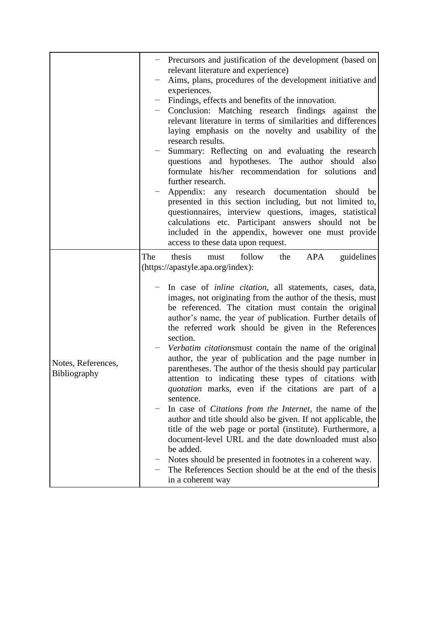|                                    | - Precursors and justification of the development (based on<br>relevant literature and experience)<br>Aims, plans, procedures of the development initiative and<br>experiences.<br>Findings, effects and benefits of the innovation.<br>Conclusion: Matching research findings against the<br>relevant literature in terms of similarities and differences<br>laying emphasis on the novelty and usability of the<br>research results.<br>Summary: Reflecting on and evaluating the research<br>questions and hypotheses. The author should<br>also<br>formulate his/her recommendation for solutions and<br>further research.<br>Appendix: any research documentation<br>should be<br>presented in this section including, but not limited to,<br>questionnaires, interview questions, images, statistical<br>calculations etc. Participant answers should not be<br>included in the appendix, however one must provide<br>access to these data upon request.                                                                                                                                                                                                        |
|------------------------------------|-----------------------------------------------------------------------------------------------------------------------------------------------------------------------------------------------------------------------------------------------------------------------------------------------------------------------------------------------------------------------------------------------------------------------------------------------------------------------------------------------------------------------------------------------------------------------------------------------------------------------------------------------------------------------------------------------------------------------------------------------------------------------------------------------------------------------------------------------------------------------------------------------------------------------------------------------------------------------------------------------------------------------------------------------------------------------------------------------------------------------------------------------------------------------|
| Notes, References,<br>Bibliography | thesis<br>The<br>follow<br>APA<br>guidelines<br>the<br>must<br>(https://apastyle.apa.org/index):<br>In case of inline citation, all statements, cases, data,<br>images, not originating from the author of the thesis, must<br>be referenced. The citation must contain the original<br>author's name, the year of publication. Further details of<br>the referred work should be given in the References<br>section.<br>Verbatim citationsmust contain the name of the original<br>author, the year of publication and the page number in<br>parentheses. The author of the thesis should pay particular<br>attention to indicating these types of citations with<br>quotation marks, even if the citations are part of a<br>sentence.<br>In case of <i>Citations</i> from the <i>Internet</i> , the name of the<br>author and title should also be given. If not applicable, the<br>title of the web page or portal (institute). Furthermore, a<br>document-level URL and the date downloaded must also<br>be added.<br>Notes should be presented in footnotes in a coherent way.<br>The References Section should be at the end of the thesis<br>in a coherent way |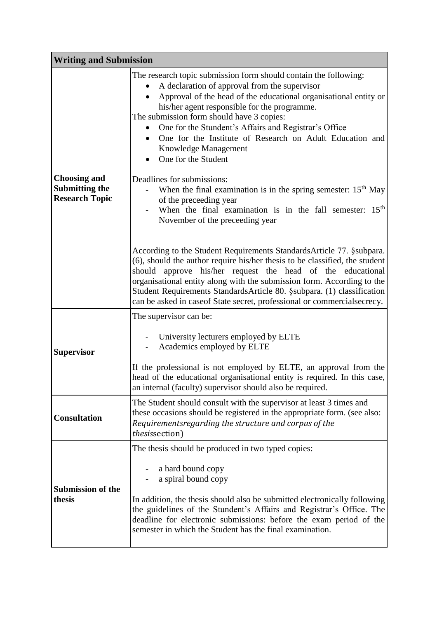| <b>Writing and Submission</b>                                         |                                                                                                                                                                                                                                                                                                                                                                                                                                                                     |
|-----------------------------------------------------------------------|---------------------------------------------------------------------------------------------------------------------------------------------------------------------------------------------------------------------------------------------------------------------------------------------------------------------------------------------------------------------------------------------------------------------------------------------------------------------|
|                                                                       | The research topic submission form should contain the following:<br>A declaration of approval from the supervisor<br>Approval of the head of the educational organisational entity or<br>his/her agent responsible for the programme.<br>The submission form should have 3 copies:<br>One for the Stundent's Affairs and Registrar's Office<br>One for the Institute of Research on Adult Education and<br>$\bullet$<br>Knowledge Management<br>One for the Student |
| <b>Choosing and</b><br><b>Submitting the</b><br><b>Research Topic</b> | Deadlines for submissions:<br>When the final examination is in the spring semester: $15th$ May<br>of the preceeding year<br>When the final examination is in the fall semester: 15 <sup>th</sup><br>November of the preceeding year                                                                                                                                                                                                                                 |
|                                                                       | According to the Student Requirements Standards Article 77. § subpara.<br>(6), should the author require his/her thesis to be classified, the student<br>should approve his/her request the head of the educational<br>organisational entity along with the submission form. According to the<br>Student Requirements Standards Article 80. §subpara. (1) classification<br>can be asked in case of State secret, professional or commercial secrecy.               |
| <b>Supervisor</b>                                                     | The supervisor can be:<br>University lecturers employed by ELTE<br>Academics employed by ELTE<br>If the professional is not employed by ELTE, an approval from the<br>head of the educational organisational entity is required. In this case,<br>an internal (faculty) supervisor should also be required.                                                                                                                                                         |
| <b>Consultation</b>                                                   | The Student should consult with the supervisor at least 3 times and<br>these occasions should be registered in the appropriate form. (see also:<br>Requirementsregarding the structure and corpus of the<br>thesissection)                                                                                                                                                                                                                                          |
| <b>Submission of the</b><br>thesis                                    | The thesis should be produced in two typed copies:<br>a hard bound copy<br>a spiral bound copy<br>In addition, the thesis should also be submitted electronically following<br>the guidelines of the Stundent's Affairs and Registrar's Office. The<br>deadline for electronic submissions: before the exam period of the<br>semester in which the Student has the final examination.                                                                               |